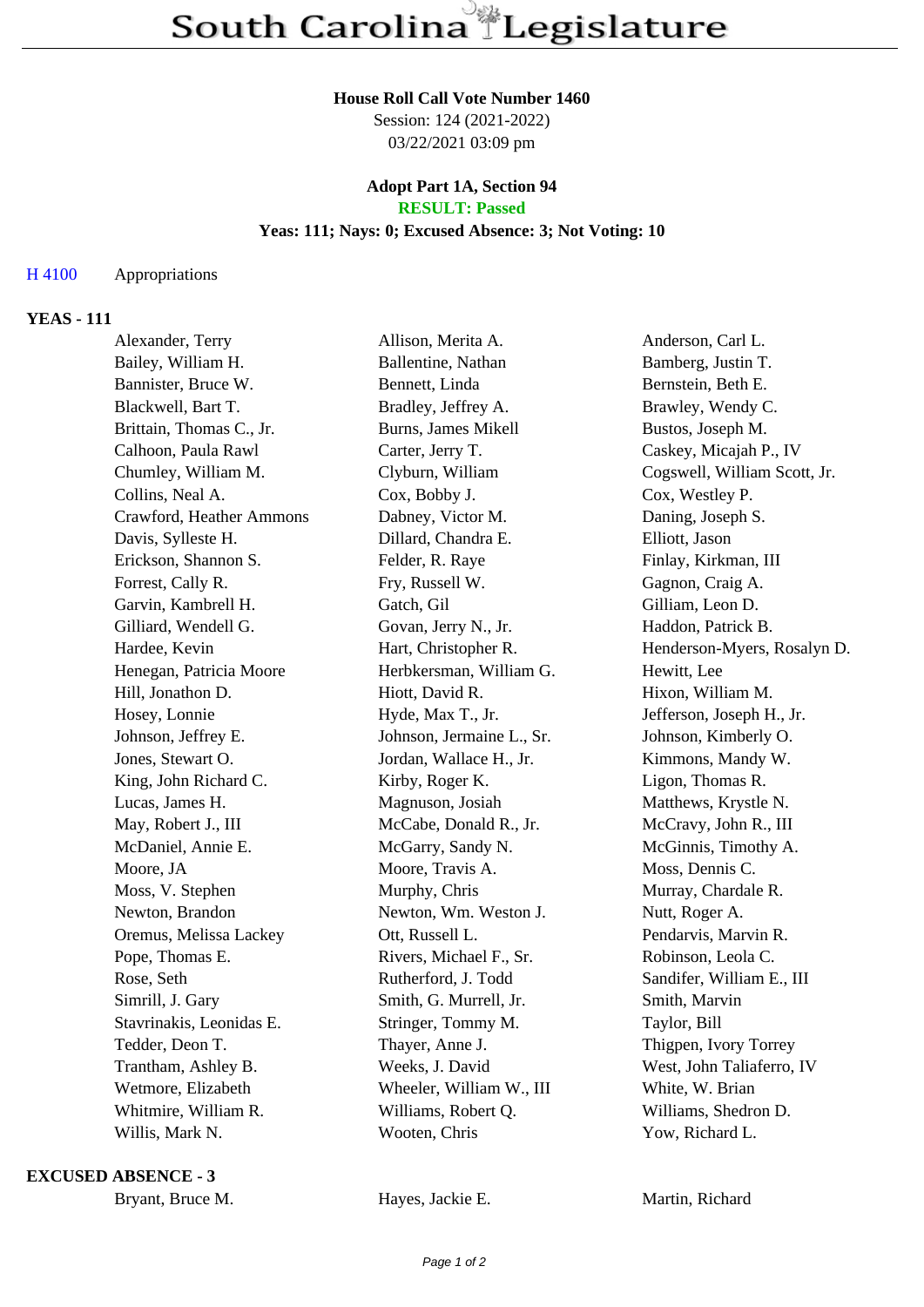#### **House Roll Call Vote Number 1460**

Session: 124 (2021-2022) 03/22/2021 03:09 pm

#### **Adopt Part 1A, Section 94 RESULT: Passed**

# **Yeas: 111; Nays: 0; Excused Absence: 3; Not Voting: 10**

## H 4100 Appropriations

## **YEAS - 111**

| Alexander, Terry         | Allison, Merita A.        | Anderson, Carl L.            |
|--------------------------|---------------------------|------------------------------|
| Bailey, William H.       | Ballentine, Nathan        | Bamberg, Justin T.           |
| Bannister, Bruce W.      | Bennett, Linda            | Bernstein, Beth E.           |
| Blackwell, Bart T.       | Bradley, Jeffrey A.       | Brawley, Wendy C.            |
| Brittain, Thomas C., Jr. | Burns, James Mikell       | Bustos, Joseph M.            |
| Calhoon, Paula Rawl      | Carter, Jerry T.          | Caskey, Micajah P., IV       |
| Chumley, William M.      | Clyburn, William          | Cogswell, William Scott, Jr. |
| Collins, Neal A.         | Cox, Bobby J.             | Cox, Westley P.              |
| Crawford, Heather Ammons | Dabney, Victor M.         | Daning, Joseph S.            |
| Davis, Sylleste H.       | Dillard, Chandra E.       | Elliott, Jason               |
| Erickson, Shannon S.     | Felder, R. Raye           | Finlay, Kirkman, III         |
| Forrest, Cally R.        | Fry, Russell W.           | Gagnon, Craig A.             |
| Garvin, Kambrell H.      | Gatch, Gil                | Gilliam, Leon D.             |
| Gilliard, Wendell G.     | Govan, Jerry N., Jr.      | Haddon, Patrick B.           |
| Hardee, Kevin            | Hart, Christopher R.      | Henderson-Myers, Rosalyn D.  |
| Henegan, Patricia Moore  | Herbkersman, William G.   | Hewitt, Lee                  |
| Hill, Jonathon D.        | Hiott, David R.           | Hixon, William M.            |
| Hosey, Lonnie            | Hyde, Max T., Jr.         | Jefferson, Joseph H., Jr.    |
| Johnson, Jeffrey E.      | Johnson, Jermaine L., Sr. | Johnson, Kimberly O.         |
| Jones, Stewart O.        | Jordan, Wallace H., Jr.   | Kimmons, Mandy W.            |
| King, John Richard C.    | Kirby, Roger K.           | Ligon, Thomas R.             |
| Lucas, James H.          | Magnuson, Josiah          | Matthews, Krystle N.         |
| May, Robert J., III      | McCabe, Donald R., Jr.    | McCravy, John R., III        |
| McDaniel, Annie E.       | McGarry, Sandy N.         | McGinnis, Timothy A.         |
| Moore, JA                | Moore, Travis A.          | Moss, Dennis C.              |
| Moss, V. Stephen         | Murphy, Chris             | Murray, Chardale R.          |
| Newton, Brandon          | Newton, Wm. Weston J.     | Nutt, Roger A.               |
| Oremus, Melissa Lackey   | Ott, Russell L.           | Pendarvis, Marvin R.         |
| Pope, Thomas E.          | Rivers, Michael F., Sr.   | Robinson, Leola C.           |
| Rose, Seth               | Rutherford, J. Todd       | Sandifer, William E., III    |
| Simrill, J. Gary         | Smith, G. Murrell, Jr.    | Smith, Marvin                |
| Stavrinakis, Leonidas E. | Stringer, Tommy M.        | Taylor, Bill                 |
| Tedder, Deon T.          | Thayer, Anne J.           | Thigpen, Ivory Torrey        |
| Trantham, Ashley B.      | Weeks, J. David           | West, John Taliaferro, IV    |
| Wetmore, Elizabeth       | Wheeler, William W., III  | White, W. Brian              |
| Whitmire, William R.     | Williams, Robert Q.       | Williams, Shedron D.         |
| Willis, Mark N.          | Wooten, Chris             | Yow, Richard L.              |
|                          |                           |                              |

**EXCUSED ABSENCE - 3**

Bryant, Bruce M. **Hayes, Jackie E.** Martin, Richard